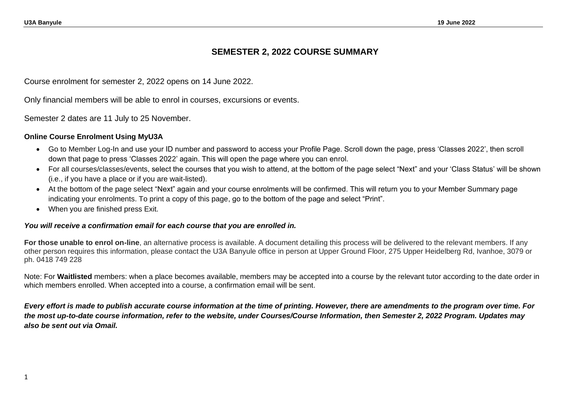# **SEMESTER 2, 2022 COURSE SUMMARY**

Course enrolment for semester 2, 2022 opens on 14 June 2022.

Only financial members will be able to enrol in courses, excursions or events.

Semester 2 dates are 11 July to 25 November.

#### **Online Course Enrolment Using MyU3A**

- Go to Member Log-In and use your ID number and password to access your Profile Page. Scroll down the page, press 'Classes 2022', then scroll down that page to press 'Classes 2022' again. This will open the page where you can enrol.
- For all courses/classes/events, select the courses that you wish to attend, at the bottom of the page select "Next" and your 'Class Status' will be shown (i.e., if you have a place or if you are wait-listed).
- At the bottom of the page select "Next" again and your course enrolments will be confirmed. This will return you to your Member Summary page indicating your enrolments. To print a copy of this page, go to the bottom of the page and select "Print".
- When you are finished press Exit.

#### *You will receive a confirmation email for each course that you are enrolled in.*

**For those unable to enrol on-line**, an alternative process is available. A document detailing this process will be delivered to the relevant members. If any other person requires this information, please contact the U3A Banyule office in person at Upper Ground Floor, 275 Upper Heidelberg Rd, Ivanhoe, 3079 or ph. 0418 749 228

Note: For **Waitlisted** members: when a place becomes available, members may be accepted into a course by the relevant tutor according to the date order in which members enrolled. When accepted into a course, a confirmation email will be sent.

*Every effort is made to publish accurate course information at the time of printing. However, there are amendments to the program over time. For the most up-to-date course information, refer to the website, under Courses/Course Information, then Semester 2, 2022 Program. Updates may also be sent out via Omail.*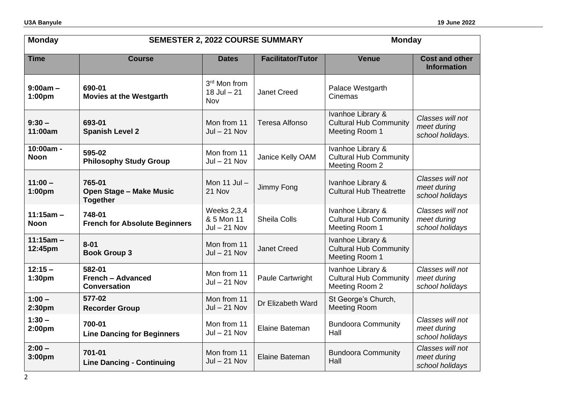| <b>Monday</b>                  | <b>SEMESTER 2, 2022 COURSE SUMMARY</b>                      |                                                    |                          | <b>Monday</b>                                                        |                                                     |  |
|--------------------------------|-------------------------------------------------------------|----------------------------------------------------|--------------------------|----------------------------------------------------------------------|-----------------------------------------------------|--|
| <b>Time</b>                    | <b>Course</b>                                               | <b>Dates</b>                                       | <b>Facilitator/Tutor</b> | <b>Venue</b>                                                         | <b>Cost and other</b><br><b>Information</b>         |  |
| $9:00am -$<br>1:00pm           | 690-01<br><b>Movies at the Westgarth</b>                    | 3rd Mon from<br>$18$ Jul $- 21$<br>Nov             | <b>Janet Creed</b>       | Palace Westgarth<br>Cinemas                                          |                                                     |  |
| $9:30 -$<br>11:00am            | 693-01<br><b>Spanish Level 2</b>                            | Mon from 11<br>$Jul - 21 Nov$                      | <b>Teresa Alfonso</b>    | Ivanhoe Library &<br><b>Cultural Hub Community</b><br>Meeting Room 1 | Classes will not<br>meet during<br>school holidays. |  |
| 10:00am -<br><b>Noon</b>       | 595-02<br><b>Philosophy Study Group</b>                     | Mon from 11<br>$Jul - 21 Nov$                      | Janice Kelly OAM         | Ivanhoe Library &<br><b>Cultural Hub Community</b><br>Meeting Room 2 |                                                     |  |
| $11:00 -$<br>1:00pm            | 765-01<br><b>Open Stage - Make Music</b><br><b>Together</b> | Mon 11 Jul -<br>21 Nov                             | Jimmy Fong               | Ivanhoe Library &<br><b>Cultural Hub Theatrette</b>                  | Classes will not<br>meet during<br>school holidays  |  |
| $11:15am -$<br><b>Noon</b>     | 748-01<br><b>French for Absolute Beginners</b>              | <b>Weeks 2,3,4</b><br>& 5 Mon 11<br>$Jul - 21 Nov$ | <b>Sheila Colls</b>      | Ivanhoe Library &<br><b>Cultural Hub Community</b><br>Meeting Room 1 | Classes will not<br>meet during<br>school holidays  |  |
| $11:15am -$<br>12:45pm         | $8 - 01$<br><b>Book Group 3</b>                             | Mon from 11<br>$Jul - 21 Nov$                      | <b>Janet Creed</b>       | Ivanhoe Library &<br><b>Cultural Hub Community</b><br>Meeting Room 1 |                                                     |  |
| $12:15 -$<br>1:30pm            | 582-01<br><b>French - Advanced</b><br><b>Conversation</b>   | Mon from 11<br>$Jul - 21 Nov$                      | Paule Cartwright         | Ivanhoe Library &<br><b>Cultural Hub Community</b><br>Meeting Room 2 | Classes will not<br>meet during<br>school holidays  |  |
| $1:00 -$<br>2:30pm             | 577-02<br><b>Recorder Group</b>                             | Mon from 11<br>$Jul - 21 Nov$                      | Dr Elizabeth Ward        | St George's Church,<br><b>Meeting Room</b>                           |                                                     |  |
| $1:30 -$<br>2:00 <sub>pm</sub> | 700-01<br><b>Line Dancing for Beginners</b>                 | Mon from 11<br>$Jul - 21 Nov$                      | Elaine Bateman           | <b>Bundoora Community</b><br>Hall                                    | Classes will not<br>meet during<br>school holidays  |  |
| $2:00 -$<br>3:00pm             | 701-01<br><b>Line Dancing - Continuing</b>                  | Mon from 11<br>$Jul - 21 Nov$                      | Elaine Bateman           | <b>Bundoora Community</b><br>Hall                                    | Classes will not<br>meet during<br>school holidays  |  |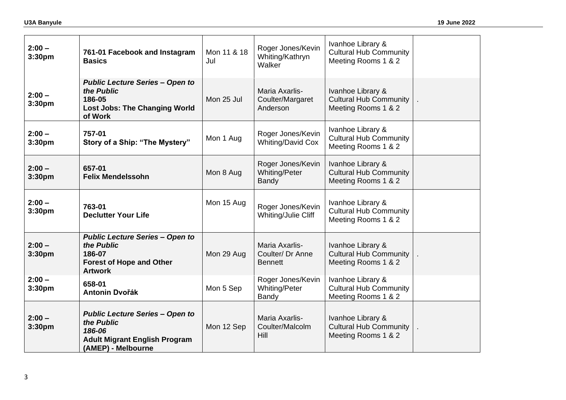| $2:00 -$<br>3:30pm             | 761-01 Facebook and Instagram<br><b>Basics</b>                                                                               | Mon 11 & 18<br>Jul | Roger Jones/Kevin<br>Whiting/Kathryn<br>Walker       | Ivanhoe Library &<br><b>Cultural Hub Community</b><br>Meeting Rooms 1 & 2 |  |
|--------------------------------|------------------------------------------------------------------------------------------------------------------------------|--------------------|------------------------------------------------------|---------------------------------------------------------------------------|--|
| $2:00 -$<br>3:30pm             | <b>Public Lecture Series - Open to</b><br>the Public<br>186-05<br><b>Lost Jobs: The Changing World</b><br>of Work            | Mon 25 Jul         | Maria Axarlis-<br>Coulter/Margaret<br>Anderson       | Ivanhoe Library &<br><b>Cultural Hub Community</b><br>Meeting Rooms 1 & 2 |  |
| $2:00 -$<br>3:30 <sub>pm</sub> | 757-01<br>Story of a Ship: "The Mystery"                                                                                     | Mon 1 Aug          | Roger Jones/Kevin<br><b>Whiting/David Cox</b>        | Ivanhoe Library &<br><b>Cultural Hub Community</b><br>Meeting Rooms 1 & 2 |  |
| $2:00 -$<br>3:30pm             | 657-01<br><b>Felix Mendelssohn</b>                                                                                           | Mon 8 Aug          | Roger Jones/Kevin<br><b>Whiting/Peter</b><br>Bandy   | Ivanhoe Library &<br><b>Cultural Hub Community</b><br>Meeting Rooms 1 & 2 |  |
| $2:00 -$<br>3:30pm             | 763-01<br><b>Declutter Your Life</b>                                                                                         | Mon 15 Aug         | Roger Jones/Kevin<br>Whiting/Julie Cliff             | Ivanhoe Library &<br><b>Cultural Hub Community</b><br>Meeting Rooms 1 & 2 |  |
| $2:00 -$<br>3:30pm             | <b>Public Lecture Series - Open to</b><br>the Public<br>186-07<br><b>Forest of Hope and Other</b><br><b>Artwork</b>          | Mon 29 Aug         | Maria Axarlis-<br>Coulter/ Dr Anne<br><b>Bennett</b> | Ivanhoe Library &<br><b>Cultural Hub Community</b><br>Meeting Rooms 1 & 2 |  |
| $2:00 -$<br>3:30pm             | 658-01<br><b>Antonin Dvořák</b>                                                                                              | Mon 5 Sep          | Roger Jones/Kevin<br>Whiting/Peter<br>Bandy          | Ivanhoe Library &<br><b>Cultural Hub Community</b><br>Meeting Rooms 1 & 2 |  |
| $2:00 -$<br>3:30pm             | <b>Public Lecture Series - Open to</b><br>the Public<br>186-06<br><b>Adult Migrant English Program</b><br>(AMEP) - Melbourne | Mon 12 Sep         | Maria Axarlis-<br>Coulter/Malcolm<br>Hill            | Ivanhoe Library &<br><b>Cultural Hub Community</b><br>Meeting Rooms 1 & 2 |  |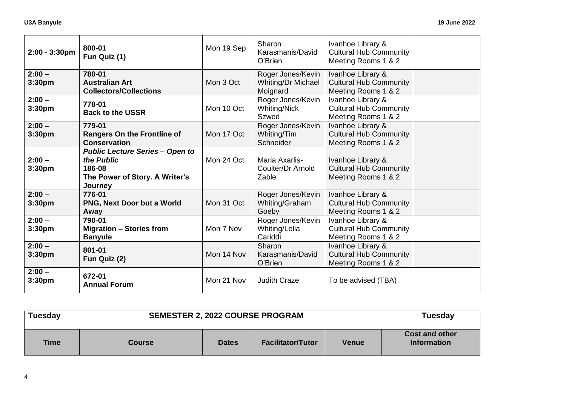| $2:00 - 3:30$ pm               | 800-01<br>Fun Quiz (1)                                                                                      | Mon 19 Sep | Sharon<br>Karasmanis/David<br>O'Brien               | Ivanhoe Library &<br><b>Cultural Hub Community</b><br>Meeting Rooms 1 & 2 |  |
|--------------------------------|-------------------------------------------------------------------------------------------------------------|------------|-----------------------------------------------------|---------------------------------------------------------------------------|--|
| $2:00 -$<br>3:30pm             | 780-01<br><b>Australian Art</b><br><b>Collectors/Collections</b>                                            | Mon 3 Oct  | Roger Jones/Kevin<br>Whiting/Dr Michael<br>Moignard | Ivanhoe Library &<br><b>Cultural Hub Community</b><br>Meeting Rooms 1 & 2 |  |
| $2:00 -$<br>3:30pm             | 778-01<br><b>Back to the USSR</b>                                                                           | Mon 10 Oct | Roger Jones/Kevin<br>Whiting/Nick<br><b>Szwed</b>   | Ivanhoe Library &<br><b>Cultural Hub Community</b><br>Meeting Rooms 1 & 2 |  |
| $2:00 -$<br>3:30 <sub>pm</sub> | 779-01<br><b>Rangers On the Frontline of</b><br><b>Conservation</b>                                         | Mon 17 Oct | Roger Jones/Kevin<br>Whiting/Tim<br>Schneider       | Ivanhoe Library &<br><b>Cultural Hub Community</b><br>Meeting Rooms 1 & 2 |  |
| $2:00 -$<br>3:30 <sub>pm</sub> | <b>Public Lecture Series - Open to</b><br>the Public<br>186-08<br>The Power of Story. A Writer's<br>Journey | Mon 24 Oct | Maria Axarlis-<br>Coulter/Dr Arnold<br>Zable        | Ivanhoe Library &<br><b>Cultural Hub Community</b><br>Meeting Rooms 1 & 2 |  |
| $2:00 -$<br>3:30 <sub>pm</sub> | 776-01<br>PNG, Next Door but a World<br>Away                                                                | Mon 31 Oct | Roger Jones/Kevin<br>Whiting/Graham<br>Goeby        | Ivanhoe Library &<br><b>Cultural Hub Community</b><br>Meeting Rooms 1 & 2 |  |
| $2:00 -$<br>3:30 <sub>pm</sub> | 790-01<br><b>Migration - Stories from</b><br><b>Banyule</b>                                                 | Mon 7 Nov  | Roger Jones/Kevin<br>Whiting/Lella<br>Cariddi       | Ivanhoe Library &<br><b>Cultural Hub Community</b><br>Meeting Rooms 1 & 2 |  |
| $2:00 -$<br>3:30 <sub>pm</sub> | 801-01<br>Fun Quiz (2)                                                                                      | Mon 14 Nov | Sharon<br>Karasmanis/David<br>O'Brien               | Ivanhoe Library &<br><b>Cultural Hub Community</b><br>Meeting Rooms 1 & 2 |  |
| $2:00 -$<br>3:30pm             | 672-01<br><b>Annual Forum</b>                                                                               | Mon 21 Nov | <b>Judith Craze</b>                                 | To be advised (TBA)                                                       |  |

| Tuesday     |        | <b>SEMESTER 2, 2022 COURSE PROGRAM</b> |                          |              |                                             |  |
|-------------|--------|----------------------------------------|--------------------------|--------------|---------------------------------------------|--|
| <b>Time</b> | Course | <b>Dates</b>                           | <b>Facilitator/Tutor</b> | <b>Venue</b> | <b>Cost and other</b><br><b>Information</b> |  |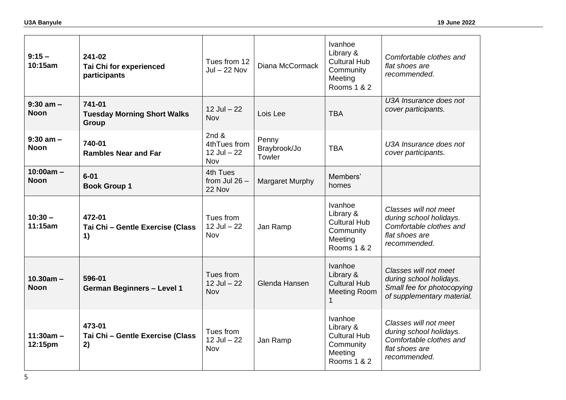| $9:15 -$<br>10:15am          | 241-02<br><b>Tai Chi for experienced</b><br>participants | Tues from 12<br>$Jul - 22 Nov$                    | Diana McCormack                 | Ivanhoe<br>Library &<br><b>Cultural Hub</b><br>Community<br>Meeting<br>Rooms 1 & 2 | Comfortable clothes and<br>flat shoes are<br>recommended.                                                     |
|------------------------------|----------------------------------------------------------|---------------------------------------------------|---------------------------------|------------------------------------------------------------------------------------|---------------------------------------------------------------------------------------------------------------|
| $9:30$ am $-$<br><b>Noon</b> | 741-01<br><b>Tuesday Morning Short Walks</b><br>Group    | $12$ Jul $-22$<br>Nov                             | Lois Lee                        | <b>TBA</b>                                                                         | U3A Insurance does not<br>cover participants.                                                                 |
| $9:30$ am $-$<br><b>Noon</b> | 740-01<br><b>Rambles Near and Far</b>                    | 2 $nd &$<br>4thTues from<br>$12$ Jul $-22$<br>Nov | Penny<br>Braybrook/Jo<br>Towler | <b>TBA</b>                                                                         | U3A Insurance does not<br>cover participants.                                                                 |
| $10:00am -$<br><b>Noon</b>   | $6 - 01$<br><b>Book Group 1</b>                          | 4th Tues<br>from Jul $26 -$<br>22 Nov             | Margaret Murphy                 | Members'<br>homes                                                                  |                                                                                                               |
| $10:30 -$<br>11:15am         | 472-01<br>Tai Chi - Gentle Exercise (Class<br>1)         | Tues from<br>$12$ Jul $-22$<br>Nov                | Jan Ramp                        | Ivanhoe<br>Library &<br><b>Cultural Hub</b><br>Community<br>Meeting<br>Rooms 1 & 2 | Classes will not meet<br>during school holidays.<br>Comfortable clothes and<br>flat shoes are<br>recommended. |
| $10.30am -$<br><b>Noon</b>   | 596-01<br><b>German Beginners - Level 1</b>              | Tues from<br>$12$ Jul $-22$<br>Nov                | Glenda Hansen                   | Ivanhoe<br>Library &<br><b>Cultural Hub</b><br><b>Meeting Room</b><br>1            | Classes will not meet<br>during school holidays.<br>Small fee for photocopying<br>of supplementary material.  |
| $11:30am -$<br>12:15pm       | 473-01<br>Tai Chi - Gentle Exercise (Class<br>2)         | Tues from<br>$12$ Jul $-22$<br>Nov                | Jan Ramp                        | Ivanhoe<br>Library &<br><b>Cultural Hub</b><br>Community<br>Meeting<br>Rooms 1 & 2 | Classes will not meet<br>during school holidays.<br>Comfortable clothes and<br>flat shoes are<br>recommended. |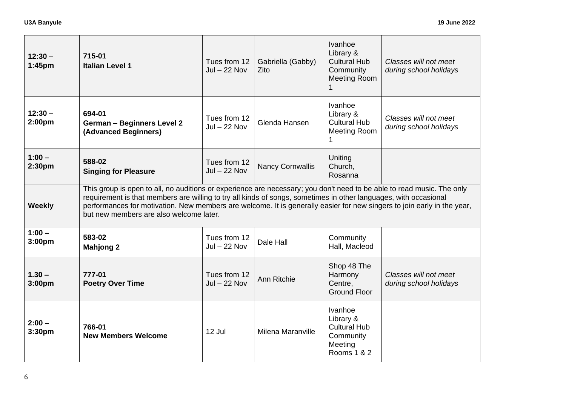| $12:30 -$<br>1:45pm            | 715-01<br><b>Italian Level 1</b>                                                                                                                                                                                                                                                                                                                                                                                 | Tues from 12<br>$Jul - 22 Nov$ | Gabriella (Gabby)<br>Zito | Ivanhoe<br>Library &<br><b>Cultural Hub</b><br>Community<br><b>Meeting Room</b>    | Classes will not meet<br>during school holidays |  |  |  |
|--------------------------------|------------------------------------------------------------------------------------------------------------------------------------------------------------------------------------------------------------------------------------------------------------------------------------------------------------------------------------------------------------------------------------------------------------------|--------------------------------|---------------------------|------------------------------------------------------------------------------------|-------------------------------------------------|--|--|--|
| $12:30 -$<br>2:00pm            | 694-01<br><b>German - Beginners Level 2</b><br>(Advanced Beginners)                                                                                                                                                                                                                                                                                                                                              | Tues from 12<br>$Jul - 22 Nov$ | Glenda Hansen             | Ivanhoe<br>Library &<br><b>Cultural Hub</b><br><b>Meeting Room</b><br>1            | Classes will not meet<br>during school holidays |  |  |  |
| $1:00 -$<br>2:30pm             | 588-02<br><b>Singing for Pleasure</b>                                                                                                                                                                                                                                                                                                                                                                            | Tues from 12<br>$Jul - 22 Nov$ | <b>Nancy Cornwallis</b>   | Uniting<br>Church,<br>Rosanna                                                      |                                                 |  |  |  |
| <b>Weekly</b>                  | This group is open to all, no auditions or experience are necessary; you don't need to be able to read music. The only<br>requirement is that members are willing to try all kinds of songs, sometimes in other languages, with occasional<br>performances for motivation. New members are welcome. It is generally easier for new singers to join early in the year,<br>but new members are also welcome later. |                                |                           |                                                                                    |                                                 |  |  |  |
| $1:00 -$<br>3:00 <sub>pm</sub> | 583-02<br><b>Mahjong 2</b>                                                                                                                                                                                                                                                                                                                                                                                       | Tues from 12<br>$Jul - 22 Nov$ | Dale Hall                 | Community<br>Hall, Macleod                                                         |                                                 |  |  |  |
| $1.30 -$<br>3:00pm             | 777-01<br><b>Poetry Over Time</b>                                                                                                                                                                                                                                                                                                                                                                                | Tues from 12<br>$Jul - 22 Nov$ | Ann Ritchie               | Shop 48 The<br>Harmony<br>Centre,<br><b>Ground Floor</b>                           | Classes will not meet<br>during school holidays |  |  |  |
| $2:00 -$<br>3:30pm             | 766-01<br><b>New Members Welcome</b>                                                                                                                                                                                                                                                                                                                                                                             | 12 Jul                         | Milena Maranville         | Ivanhoe<br>Library &<br><b>Cultural Hub</b><br>Community<br>Meeting<br>Rooms 1 & 2 |                                                 |  |  |  |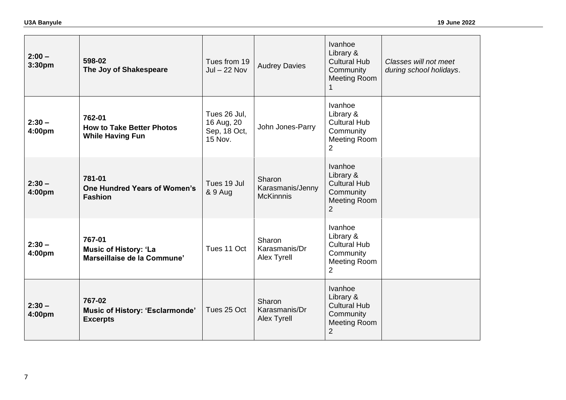| $2:00 -$<br>3:30pm | 598-02<br>The Joy of Shakespeare                                      | Tues from 19<br>$Jul - 22 Nov$                        | <b>Audrey Davies</b>                           | Ivanhoe<br>Library &<br><b>Cultural Hub</b><br>Community<br><b>Meeting Room</b>                          | Classes will not meet<br>during school holidays. |
|--------------------|-----------------------------------------------------------------------|-------------------------------------------------------|------------------------------------------------|----------------------------------------------------------------------------------------------------------|--------------------------------------------------|
| $2:30 -$<br>4:00pm | 762-01<br><b>How to Take Better Photos</b><br><b>While Having Fun</b> | Tues 26 Jul,<br>16 Aug, 20<br>Sep, 18 Oct,<br>15 Nov. | John Jones-Parry                               | Ivanhoe<br>Library &<br><b>Cultural Hub</b><br>Community<br><b>Meeting Room</b><br>$\overline{2}$        |                                                  |
| $2:30 -$<br>4:00pm | 781-01<br><b>One Hundred Years of Women's</b><br><b>Fashion</b>       | Tues 19 Jul<br>& 9 Aug                                | Sharon<br>Karasmanis/Jenny<br><b>McKinnnis</b> | Ivanhoe<br>Library &<br><b>Cultural Hub</b><br>Community<br><b>Meeting Room</b><br>$\overline{2}$        |                                                  |
| $2:30 -$<br>4:00pm | 767-01<br><b>Music of History: 'La</b><br>Marseillaise de la Commune' | Tues 11 Oct                                           | Sharon<br>Karasmanis/Dr<br>Alex Tyrell         | <b>Ivanhoe</b><br>Library &<br><b>Cultural Hub</b><br>Community<br><b>Meeting Room</b><br>$\overline{2}$ |                                                  |
| $2:30 -$<br>4:00pm | 767-02<br>Music of History: 'Esclarmonde'<br><b>Excerpts</b>          | Tues 25 Oct                                           | Sharon<br>Karasmanis/Dr<br>Alex Tyrell         | Ivanhoe<br>Library &<br><b>Cultural Hub</b><br>Community<br><b>Meeting Room</b><br>$\overline{2}$        |                                                  |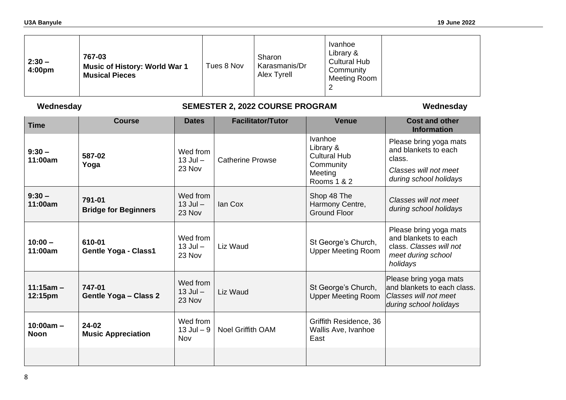| $2:30 -$<br>4:00pm | 767-03<br><b>Music of History: World War 1</b><br><b>Musical Pieces</b> | Tues 8 Nov | Sharon<br>Karasmanis/Dr<br>Alex Tyrell | Ivanhoe<br>Library &<br><b>Cultural Hub</b><br>Community<br><b>Meeting Room</b><br>2 |  |
|--------------------|-------------------------------------------------------------------------|------------|----------------------------------------|--------------------------------------------------------------------------------------|--|
|--------------------|-------------------------------------------------------------------------|------------|----------------------------------------|--------------------------------------------------------------------------------------|--|

# **Wednesday SEMESTER 2, 2022 COURSE PROGRAM Wednesday**

| <b>Time</b>                | <b>Course</b>                          | <b>Dates</b>                       | <b>Facilitator/Tutor</b> | <b>Venue</b>                                                                       | <b>Cost and other</b><br><b>Information</b>                                                                 |
|----------------------------|----------------------------------------|------------------------------------|--------------------------|------------------------------------------------------------------------------------|-------------------------------------------------------------------------------------------------------------|
| $9:30 -$<br>11:00am        | 587-02<br>Yoga                         | Wed from<br>$13$ Jul $-$<br>23 Nov | <b>Catherine Prowse</b>  | Ivanhoe<br>Library &<br><b>Cultural Hub</b><br>Community<br>Meeting<br>Rooms 1 & 2 | Please bring yoga mats<br>and blankets to each<br>class.<br>Classes will not meet<br>during school holidays |
| $9:30 -$<br>11:00am        | 791-01<br><b>Bridge for Beginners</b>  | Wed from<br>$13$ Jul $-$<br>23 Nov | lan Cox                  | Shop 48 The<br>Harmony Centre,<br><b>Ground Floor</b>                              | Classes will not meet<br>during school holidays                                                             |
| $10:00 -$<br>11:00am       | 610-01<br><b>Gentle Yoga - Class1</b>  | Wed from<br>$13$ Jul $-$<br>23 Nov | Liz Waud                 | St George's Church,<br><b>Upper Meeting Room</b>                                   | Please bring yoga mats<br>and blankets to each<br>class. Classes will not<br>meet during school<br>holidays |
| $11:15am -$<br>12:15pm     | 747-01<br><b>Gentle Yoga - Class 2</b> | Wed from<br>$13$ Jul $-$<br>23 Nov | Liz Waud                 | St George's Church,<br><b>Upper Meeting Room</b>                                   | Please bring yoga mats<br>and blankets to each class.<br>Classes will not meet<br>during school holidays    |
| $10:00am -$<br><b>Noon</b> | 24-02<br><b>Music Appreciation</b>     | Wed from<br>$13$ Jul $-9$<br>Nov   | <b>Noel Griffith OAM</b> | Griffith Residence, 36<br>Wallis Ave, Ivanhoe<br>East                              |                                                                                                             |
|                            |                                        |                                    |                          |                                                                                    |                                                                                                             |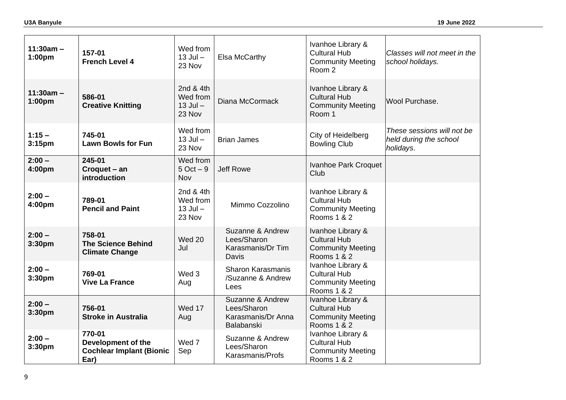| $11:30am -$<br>1:00 <sub>pm</sub> | 157-01<br><b>French Level 4</b>                                         | Wed from<br>$13$ Jul $-$<br>23 Nov              | <b>Elsa McCarthy</b>                                                | Ivanhoe Library &<br><b>Cultural Hub</b><br><b>Community Meeting</b><br>Room 2      | Classes will not meet in the<br>school holidays.                  |
|-----------------------------------|-------------------------------------------------------------------------|-------------------------------------------------|---------------------------------------------------------------------|-------------------------------------------------------------------------------------|-------------------------------------------------------------------|
| $11:30am -$<br>1:00pm             | 586-01<br><b>Creative Knitting</b>                                      | 2nd & 4th<br>Wed from<br>$13$ Jul $-$<br>23 Nov | Diana McCormack                                                     | Ivanhoe Library &<br><b>Cultural Hub</b><br><b>Community Meeting</b><br>Room 1      | Wool Purchase.                                                    |
| $1:15 -$<br>3:15 <sub>pm</sub>    | 745-01<br><b>Lawn Bowls for Fun</b>                                     | Wed from<br>$13$ Jul $-$<br>23 Nov              | <b>Brian James</b>                                                  | City of Heidelberg<br><b>Bowling Club</b>                                           | These sessions will not be<br>held during the school<br>holidays. |
| $2:00 -$<br>4:00pm                | 245-01<br>Croquet - an<br>introduction                                  | Wed from<br>$5$ Oct $-9$<br>Nov                 | <b>Jeff Rowe</b>                                                    | Ivanhoe Park Croquet<br>Club                                                        |                                                                   |
| $2:00 -$<br>4:00pm                | 789-01<br><b>Pencil and Paint</b>                                       | 2nd & 4th<br>Wed from<br>$13$ Jul $-$<br>23 Nov | Mimmo Cozzolino                                                     | Ivanhoe Library &<br><b>Cultural Hub</b><br><b>Community Meeting</b><br>Rooms 1 & 2 |                                                                   |
| $2:00 -$<br>3:30pm                | 758-01<br><b>The Science Behind</b><br><b>Climate Change</b>            | <b>Wed 20</b><br>Jul                            | Suzanne & Andrew<br>Lees/Sharon<br>Karasmanis/Dr Tim<br>Davis       | Ivanhoe Library &<br><b>Cultural Hub</b><br><b>Community Meeting</b><br>Rooms 1 & 2 |                                                                   |
| $2:00 -$<br>3:30pm                | 769-01<br><b>Vive La France</b>                                         | Wed 3<br>Aug                                    | <b>Sharon Karasmanis</b><br>/Suzanne & Andrew<br>Lees               | Ivanhoe Library &<br><b>Cultural Hub</b><br><b>Community Meeting</b><br>Rooms 1 & 2 |                                                                   |
| $2:00 -$<br>3:30pm                | 756-01<br><b>Stroke in Australia</b>                                    | Wed 17<br>Aug                                   | Suzanne & Andrew<br>Lees/Sharon<br>Karasmanis/Dr Anna<br>Balabanski | Ivanhoe Library &<br><b>Cultural Hub</b><br><b>Community Meeting</b><br>Rooms 1 & 2 |                                                                   |
| $2:00 -$<br>3:30pm                | 770-01<br>Development of the<br><b>Cochlear Implant (Bionic</b><br>Ear) | Wed 7<br>Sep                                    | Suzanne & Andrew<br>Lees/Sharon<br>Karasmanis/Profs                 | Ivanhoe Library &<br><b>Cultural Hub</b><br><b>Community Meeting</b><br>Rooms 1 & 2 |                                                                   |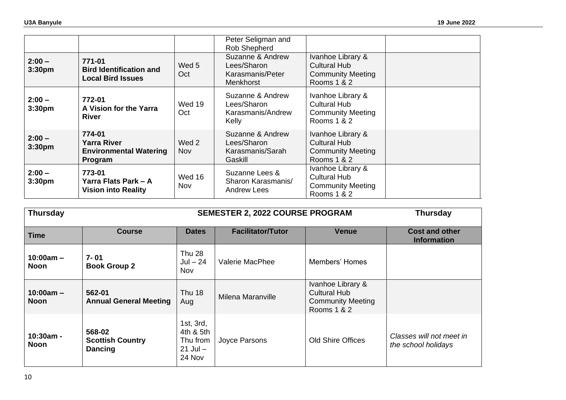|                                |                                                                          |                     | Peter Seligman and                                               |                                                                                     |  |
|--------------------------------|--------------------------------------------------------------------------|---------------------|------------------------------------------------------------------|-------------------------------------------------------------------------------------|--|
|                                |                                                                          |                     | Rob Shepherd                                                     |                                                                                     |  |
| $2:00 -$<br>3:30 <sub>pm</sub> | 771-01<br><b>Bird Identification and</b><br><b>Local Bird Issues</b>     | Wed 5<br>Oct        | Suzanne & Andrew<br>Lees/Sharon<br>Karasmanis/Peter<br>Menkhorst | Ivanhoe Library &<br>Cultural Hub<br><b>Community Meeting</b><br>Rooms 1 & 2        |  |
| $2:00 -$<br>3:30 <sub>pm</sub> | 772-01<br>A Vision for the Yarra<br><b>River</b>                         | Wed 19<br>Oct       | Suzanne & Andrew<br>Lees/Sharon<br>Karasmanis/Andrew<br>Kelly    | Ivanhoe Library &<br>Cultural Hub<br><b>Community Meeting</b><br>Rooms 1 & 2        |  |
| $2:00 -$<br>3:30 <sub>pm</sub> | 774-01<br><b>Yarra River</b><br><b>Environmental Watering</b><br>Program | Wed 2<br><b>Nov</b> | Suzanne & Andrew<br>Lees/Sharon<br>Karasmanis/Sarah<br>Gaskill   | Ivanhoe Library &<br>Cultural Hub<br><b>Community Meeting</b><br>Rooms 1 & 2        |  |
| $2:00 -$<br>3:30 <sub>pm</sub> | 773-01<br>Yarra Flats Park – A<br><b>Vision into Reality</b>             | Wed 16<br>Nov       | Suzanne Lees &<br>Sharon Karasmanis/<br>Andrew Lees              | Ivanhoe Library &<br><b>Cultural Hub</b><br><b>Community Meeting</b><br>Rooms 1 & 2 |  |

| <b>Thursday</b>            |                                                     |                                                              | <b>SEMESTER 2, 2022 COURSE PROGRAM</b> | <b>Thursday</b>                                                                     |                                                 |
|----------------------------|-----------------------------------------------------|--------------------------------------------------------------|----------------------------------------|-------------------------------------------------------------------------------------|-------------------------------------------------|
| <b>Time</b>                | <b>Course</b>                                       | <b>Dates</b>                                                 | <b>Facilitator/Tutor</b>               | <b>Venue</b>                                                                        | <b>Cost and other</b><br><b>Information</b>     |
| $10:00am -$<br><b>Noon</b> | 7-01<br><b>Book Group 2</b>                         | <b>Thu 28</b><br>Jul $-24$<br><b>Nov</b>                     | Valerie MacPhee                        | Members' Homes                                                                      |                                                 |
| $10:00am -$<br><b>Noon</b> | 562-01<br><b>Annual General Meeting</b>             | <b>Thu 18</b><br>Aug                                         | Milena Maranville                      | Ivanhoe Library &<br><b>Cultural Hub</b><br><b>Community Meeting</b><br>Rooms 1 & 2 |                                                 |
| $10:30am -$<br>Noon        | 568-02<br><b>Scottish Country</b><br><b>Dancing</b> | 1st, 3rd,<br>4th & 5th<br>Thu from<br>$21$ Jul $-$<br>24 Nov | Joyce Parsons                          | <b>Old Shire Offices</b>                                                            | Classes will not meet in<br>the school holidays |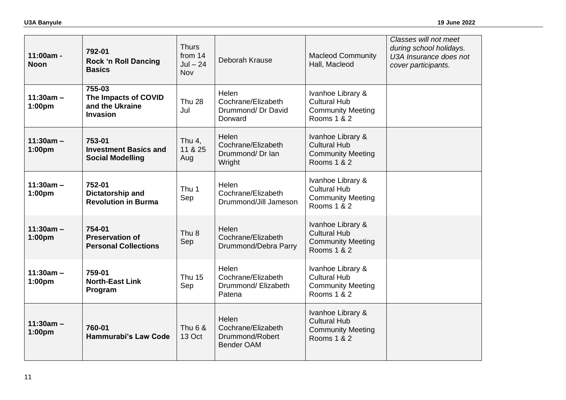| $11:00am -$<br><b>Noon</b>        | 792-01<br><b>Rock 'n Roll Dancing</b><br><b>Basics</b>               | <b>Thurs</b><br>from 14<br>$Jul - 24$<br>Nov | Deborah Krause                                                      | <b>Macleod Community</b><br>Hall, Macleod                                           | Classes will not meet<br>during school holidays.<br>U3A Insurance does not<br>cover participants. |
|-----------------------------------|----------------------------------------------------------------------|----------------------------------------------|---------------------------------------------------------------------|-------------------------------------------------------------------------------------|---------------------------------------------------------------------------------------------------|
| $11:30am -$<br>1:00 <sub>pm</sub> | 755-03<br>The Impacts of COVID<br>and the Ukraine<br><b>Invasion</b> | <b>Thu 28</b><br>Jul                         | Helen<br>Cochrane/Elizabeth<br>Drummond/ Dr David<br>Dorward        | Ivanhoe Library &<br><b>Cultural Hub</b><br><b>Community Meeting</b><br>Rooms 1 & 2 |                                                                                                   |
| $11:30am -$<br>1:00pm             | 753-01<br><b>Investment Basics and</b><br><b>Social Modelling</b>    | Thu $4,$<br>11 & 25<br>Aug                   | Helen<br>Cochrane/Elizabeth<br>Drummond/Dr Ian<br>Wright            | Ivanhoe Library &<br><b>Cultural Hub</b><br><b>Community Meeting</b><br>Rooms 1 & 2 |                                                                                                   |
| $11:30am -$<br>1:00pm             | 752-01<br>Dictatorship and<br><b>Revolution in Burma</b>             | Thu 1<br>Sep                                 | Helen<br>Cochrane/Elizabeth<br>Drummond/Jill Jameson                | Ivanhoe Library &<br><b>Cultural Hub</b><br><b>Community Meeting</b><br>Rooms 1 & 2 |                                                                                                   |
| $11:30am -$<br>1:00pm             | 754-01<br><b>Preservation of</b><br><b>Personal Collections</b>      | Thu <sub>8</sub><br>Sep                      | Helen<br>Cochrane/Elizabeth<br>Drummond/Debra Parry                 | Ivanhoe Library &<br><b>Cultural Hub</b><br><b>Community Meeting</b><br>Rooms 1 & 2 |                                                                                                   |
| $11:30am -$<br>1:00pm             | 759-01<br><b>North-East Link</b><br>Program                          | <b>Thu 15</b><br>Sep                         | Helen<br>Cochrane/Elizabeth<br>Drummond/ Elizabeth<br>Patena        | Ivanhoe Library &<br><b>Cultural Hub</b><br><b>Community Meeting</b><br>Rooms 1 & 2 |                                                                                                   |
| $11:30am -$<br>1:00pm             | 760-01<br><b>Hammurabi's Law Code</b>                                | Thu 6 &<br>13 Oct                            | Helen<br>Cochrane/Elizabeth<br>Drummond/Robert<br><b>Bender OAM</b> | Ivanhoe Library &<br><b>Cultural Hub</b><br><b>Community Meeting</b><br>Rooms 1 & 2 |                                                                                                   |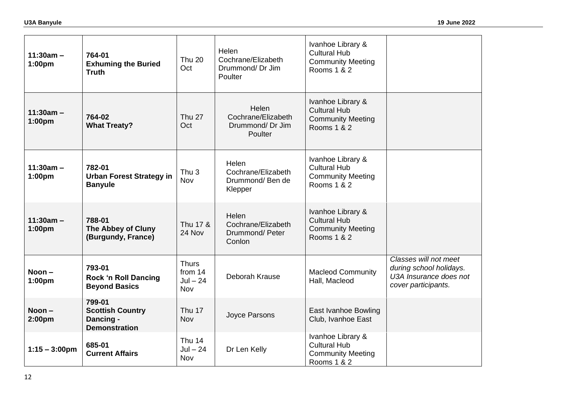| $11:30am -$<br>1:00pm             | 764-01<br><b>Exhuming the Buried</b><br><b>Truth</b>                   | <b>Thu 20</b><br>Oct                         | Helen<br>Cochrane/Elizabeth<br>Drummond/Dr Jim<br>Poulter        | Ivanhoe Library &<br><b>Cultural Hub</b><br><b>Community Meeting</b><br>Rooms 1 & 2 |                                                                                                   |
|-----------------------------------|------------------------------------------------------------------------|----------------------------------------------|------------------------------------------------------------------|-------------------------------------------------------------------------------------|---------------------------------------------------------------------------------------------------|
| $11:30am -$<br>1:00 <sub>pm</sub> | 764-02<br><b>What Treaty?</b>                                          | <b>Thu 27</b><br>Oct                         | Helen<br>Cochrane/Elizabeth<br>Drummond/Dr Jim<br><b>Poulter</b> | Ivanhoe Library &<br><b>Cultural Hub</b><br><b>Community Meeting</b><br>Rooms 1 & 2 |                                                                                                   |
| $11:30am -$<br>1:00pm             | 782-01<br><b>Urban Forest Strategy in</b><br><b>Banyule</b>            | Thu <sub>3</sub><br><b>Nov</b>               | Helen<br>Cochrane/Elizabeth<br>Drummond/Ben de<br>Klepper        | Ivanhoe Library &<br><b>Cultural Hub</b><br><b>Community Meeting</b><br>Rooms 1 & 2 |                                                                                                   |
| $11:30am -$<br>1:00pm             | 788-01<br><b>The Abbey of Cluny</b><br>(Burgundy, France)              | Thu 17 &<br>24 Nov                           | Helen<br>Cochrane/Elizabeth<br>Drummond/Peter<br>Conlon          | Ivanhoe Library &<br><b>Cultural Hub</b><br><b>Community Meeting</b><br>Rooms 1 & 2 |                                                                                                   |
| Noon $-$<br>1:00pm                | 793-01<br><b>Rock 'n Roll Dancing</b><br><b>Beyond Basics</b>          | <b>Thurs</b><br>from 14<br>$Jul - 24$<br>Nov | Deborah Krause                                                   | <b>Macleod Community</b><br>Hall, Macleod                                           | Classes will not meet<br>during school holidays.<br>U3A Insurance does not<br>cover participants. |
| Noon-<br>2:00pm                   | 799-01<br><b>Scottish Country</b><br>Dancing -<br><b>Demonstration</b> | Thu 17<br>Nov                                | Joyce Parsons                                                    | East Ivanhoe Bowling<br>Club, Ivanhoe East                                          |                                                                                                   |
| $1:15 - 3:00 \text{pm}$           | 685-01<br><b>Current Affairs</b>                                       | Thu 14<br>$Jul - 24$<br>Nov                  | Dr Len Kelly                                                     | Ivanhoe Library &<br><b>Cultural Hub</b><br><b>Community Meeting</b><br>Rooms 1 & 2 |                                                                                                   |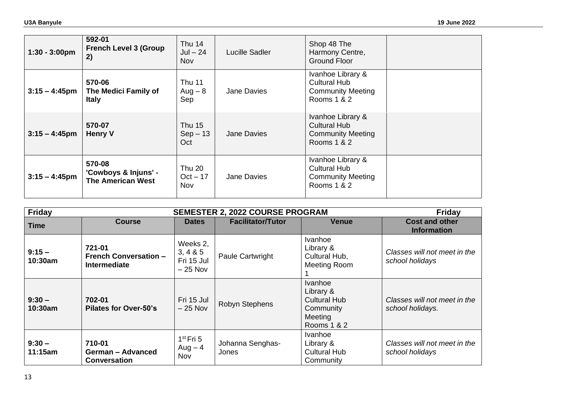| $1:30 - 3:00 \text{pm}$ | 592-01<br><b>French Level 3 (Group</b><br>2)               | Thu 14<br>$Jul - 24$<br>Nov       | Lucille Sadler     | Shop 48 The<br>Harmony Centre,<br>Ground Floor                                      |  |
|-------------------------|------------------------------------------------------------|-----------------------------------|--------------------|-------------------------------------------------------------------------------------|--|
| $3:15 - 4:45$ pm        | 570-06<br>The Medici Family of<br><b>Italy</b>             | <b>Thu 11</b><br>$Aug - 8$<br>Sep | Jane Davies        | Ivanhoe Library &<br><b>Cultural Hub</b><br><b>Community Meeting</b><br>Rooms 1 & 2 |  |
| $3:15 - 4:45$ pm        | 570-07<br><b>Henry V</b>                                   | Thu 15<br>$Sep-13$<br>Oct         | Jane Davies        | Ivanhoe Library &<br><b>Cultural Hub</b><br><b>Community Meeting</b><br>Rooms 1 & 2 |  |
| $3:15 - 4:45$ pm        | 570-08<br>'Cowboys & Injuns' -<br><b>The American West</b> | Thu 20<br>$Oct - 17$<br>Nov       | <b>Jane Davies</b> | Ivanhoe Library &<br><b>Cultural Hub</b><br><b>Community Meeting</b><br>Rooms 1 & 2 |  |

| <b>Friday</b>       |                                                               |                                                     | <b>SEMESTER 2, 2022 COURSE PROGRAM</b> |                                                                                           | <b>Friday</b>                                    |
|---------------------|---------------------------------------------------------------|-----------------------------------------------------|----------------------------------------|-------------------------------------------------------------------------------------------|--------------------------------------------------|
| <b>Time</b>         | <b>Course</b>                                                 | <b>Dates</b>                                        | <b>Facilitator/Tutor</b>               | <b>Venue</b>                                                                              | <b>Cost and other</b><br><b>Information</b>      |
| $9:15 -$<br>10:30am | 721-01<br><b>French Conversation -</b><br><b>Intermediate</b> | Weeks 2,<br>3, 4 & 8 & 5<br>Fri 15 Jul<br>$-25$ Nov | <b>Paule Cartwright</b>                | Ivanhoe<br>Library &<br>Cultural Hub,<br>Meeting Room                                     | Classes will not meet in the<br>school holidays  |
| $9:30 -$<br>10:30am | 702-01<br><b>Pilates for Over-50's</b>                        | Fri 15 Jul<br>$-25$ Nov                             | <b>Robyn Stephens</b>                  | <b>Ivanhoe</b><br>Library &<br><b>Cultural Hub</b><br>Community<br>Meeting<br>Rooms 1 & 2 | Classes will not meet in the<br>school holidays. |
| $9:30 -$<br>11:15am | 710-01<br><b>German - Advanced</b><br><b>Conversation</b>     | $1st$ Fri 5<br>$Aug - 4$<br>Nov                     | Johanna Senghas-<br>Jones              | <b>Ivanhoe</b><br>Library &<br><b>Cultural Hub</b><br>Community                           | Classes will not meet in the<br>school holidays  |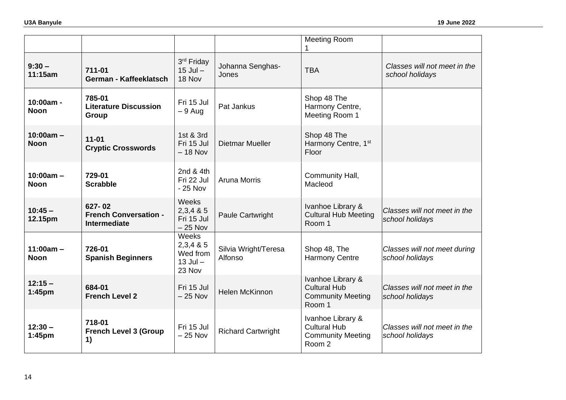|                            |                                                               |                                                        |                                 | <b>Meeting Room</b><br>1                                                       |                                                 |
|----------------------------|---------------------------------------------------------------|--------------------------------------------------------|---------------------------------|--------------------------------------------------------------------------------|-------------------------------------------------|
| $9:30 -$<br>11:15am        | 711-01<br>German - Kaffeeklatsch                              | 3rd Friday<br>$15$ Jul $-$<br>18 Nov                   | Johanna Senghas-<br>Jones       | <b>TBA</b>                                                                     | Classes will not meet in the<br>school holidays |
| 10:00am -<br><b>Noon</b>   | 785-01<br><b>Literature Discussion</b><br>Group               | Fri 15 Jul<br>$-9$ Aug                                 | Pat Jankus                      | Shop 48 The<br>Harmony Centre,<br>Meeting Room 1                               |                                                 |
| $10:00am -$<br><b>Noon</b> | $11 - 01$<br><b>Cryptic Crosswords</b>                        | 1st & 3rd<br>Fri 15 Jul<br>$-18$ Nov                   | <b>Dietmar Mueller</b>          | Shop 48 The<br>Harmony Centre, 1st<br>Floor                                    |                                                 |
| $10:00am -$<br><b>Noon</b> | 729-01<br><b>Scrabble</b>                                     | 2nd & 4th<br>Fri 22 Jul<br>$-25$ Nov                   | <b>Aruna Morris</b>             | Community Hall,<br>Macleod                                                     |                                                 |
| $10:45 -$<br>12.15pm       | 627-02<br><b>French Conversation -</b><br><b>Intermediate</b> | Weeks<br>2,3,485<br>Fri 15 Jul<br>$-25$ Nov            | Paule Cartwright                | Ivanhoe Library &<br><b>Cultural Hub Meeting</b><br>Room 1                     | Classes will not meet in the<br>school holidays |
| $11:00am -$<br><b>Noon</b> | 726-01<br><b>Spanish Beginners</b>                            | Weeks<br>2,3,485<br>Wed from<br>$13$ Jul $-$<br>23 Nov | Silvia Wright/Teresa<br>Alfonso | Shop 48, The<br><b>Harmony Centre</b>                                          | Classes will not meet during<br>school holidays |
| $12:15 -$<br>1:45pm        | 684-01<br><b>French Level 2</b>                               | Fri 15 Jul<br>$-25$ Nov                                | <b>Helen McKinnon</b>           | Ivanhoe Library &<br><b>Cultural Hub</b><br><b>Community Meeting</b><br>Room 1 | Classes will not meet in the<br>school holidays |
| $12:30 -$<br>1:45pm        | 718-01<br><b>French Level 3 (Group</b><br>1)                  | Fri 15 Jul<br>$-25$ Nov                                | <b>Richard Cartwright</b>       | Ivanhoe Library &<br><b>Cultural Hub</b><br><b>Community Meeting</b><br>Room 2 | Classes will not meet in the<br>school holidays |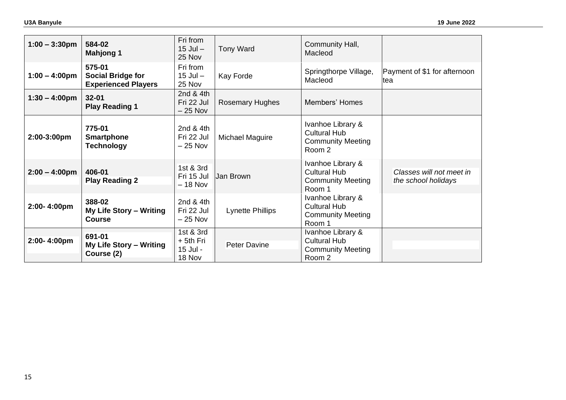| $1:00 - 3:30$ pm        | 584-02<br><b>Mahjong 1</b>                                       | Fri from<br>$15$ Jul $-$<br>25 Nov             | <b>Tony Ward</b>        | Community Hall,<br>Macleod                                                     |                                                 |
|-------------------------|------------------------------------------------------------------|------------------------------------------------|-------------------------|--------------------------------------------------------------------------------|-------------------------------------------------|
| $1:00 - 4:00 \text{pm}$ | 575-01<br><b>Social Bridge for</b><br><b>Experienced Players</b> | Fri from<br>$15$ Jul $-$<br>25 Nov             | Kay Forde               | Springthorpe Village,<br>Macleod                                               | Payment of \$1 for afternoon<br>ltea            |
| $1:30 - 4:00 \text{pm}$ | $32 - 01$<br><b>Play Reading 1</b>                               | 2nd & 4th<br>Fri 22 Jul<br>$-25$ Nov           | <b>Rosemary Hughes</b>  | Members' Homes                                                                 |                                                 |
| 2:00-3:00pm             | 775-01<br><b>Smartphone</b><br><b>Technology</b>                 | 2nd $&$ 4th<br>Fri 22 Jul<br>$-25$ Nov         | Michael Maguire         | Ivanhoe Library &<br><b>Cultural Hub</b><br><b>Community Meeting</b><br>Room 2 |                                                 |
| $2:00 - 4:00 \text{pm}$ | 406-01<br><b>Play Reading 2</b>                                  | 1st & 3rd<br>Fri 15 Jul<br>$-18$ Nov           | Jan Brown               | Ivanhoe Library &<br><b>Cultural Hub</b><br><b>Community Meeting</b><br>Room 1 | Classes will not meet in<br>the school holidays |
| 2:00-4:00pm             | 388-02<br>My Life Story - Writing<br><b>Course</b>               | 2nd & 4th<br>Fri 22 Jul<br>$-25$ Nov           | <b>Lynette Phillips</b> | Ivanhoe Library &<br><b>Cultural Hub</b><br><b>Community Meeting</b><br>Room 1 |                                                 |
| 2:00-4:00pm             | 691-01<br>My Life Story - Writing<br>Course (2)                  | 1st & 3rd<br>$+$ 5th Fri<br>15 Jul -<br>18 Nov | <b>Peter Davine</b>     | Ivanhoe Library &<br><b>Cultural Hub</b><br><b>Community Meeting</b><br>Room 2 |                                                 |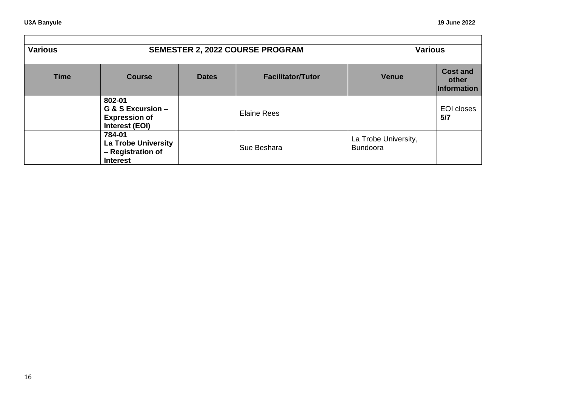$\blacksquare$ 

| <b>Various</b> |                                                                              |              | <b>SEMESTER 2, 2022 COURSE PROGRAM</b> | <b>Various</b>                          |                                                |
|----------------|------------------------------------------------------------------------------|--------------|----------------------------------------|-----------------------------------------|------------------------------------------------|
| <b>Time</b>    | <b>Course</b>                                                                | <b>Dates</b> | <b>Facilitator/Tutor</b>               | <b>Venue</b>                            | <b>Cost and</b><br>other<br><b>Information</b> |
|                | 802-01<br>G & S Excursion -<br><b>Expression of</b><br>Interest (EOI)        |              | <b>Elaine Rees</b>                     |                                         | EOI closes<br>5/7                              |
|                | 784-01<br><b>La Trobe University</b><br>- Registration of<br><b>Interest</b> |              | Sue Beshara                            | La Trobe University,<br><b>Bundoora</b> |                                                |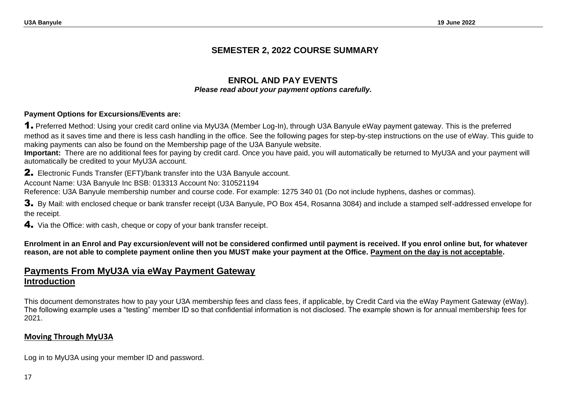# **SEMESTER 2, 2022 COURSE SUMMARY**

# **ENROL AND PAY EVENTS** *Please read about your payment options carefully.*

### **Payment Options for Excursions/Events are:**

1. Preferred Method: Using your credit card online via MyU3A (Member Log-In), through U3A Banyule eWay payment gateway. This is the preferred method as it saves time and there is less cash handling in the office. See the following pages for step-by-step instructions on the use of eWay. This guide to making payments can also be found on the Membership page of the U3A Banyule website.

**Important:** There are no additional fees for paying by credit card. Once you have paid, you will automatically be returned to MyU3A and your payment will automatically be credited to your MyU3A account.

2. Electronic Funds Transfer (EFT)/bank transfer into the U3A Banyule account.

Account Name: U3A Banyule Inc BSB: 013313 Account No: 310521194

Reference: U3A Banyule membership number and course code. For example: 1275 340 01 (Do not include hyphens, dashes or commas).

3. By Mail: with enclosed cheque or bank transfer receipt (U3A Banyule, PO Box 454, Rosanna 3084) and include a stamped self-addressed envelope for the receipt.

4. Via the Office: with cash, cheque or copy of your bank transfer receipt.

**Enrolment in an Enrol and Pay excursion/event will not be considered confirmed until payment is received. If you enrol online but, for whatever reason, are not able to complete payment online then you MUST make your payment at the Office. Payment on the day is not acceptable.**

# **Payments From MyU3A via eWay Payment Gateway Introduction**

This document demonstrates how to pay your U3A membership fees and class fees, if applicable, by Credit Card via the eWay Payment Gateway (eWay). The following example uses a "testing" member ID so that confidential information is not disclosed. The example shown is for annual membership fees for 2021.

# **Moving Through MyU3A**

Log in to MyU3A using your member ID and password.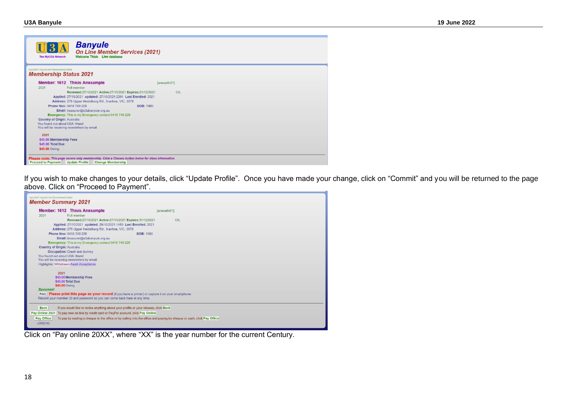| <b>Banyule</b><br><b>On Line Member Services (2021)</b><br><b>Welcome Thisis Live database</b><br>The MyU3A Network                                                                  |              |
|--------------------------------------------------------------------------------------------------------------------------------------------------------------------------------------|--------------|
| myu3a01.myu3a.net/home/www/u3abal<br><b>Membership Status 2021</b>                                                                                                                   |              |
| <b>Member: 1612 Thisis Anexample</b>                                                                                                                                                 | [anexathi01] |
| Full member<br>2021                                                                                                                                                                  |              |
| Renewed:27/10/2021 Active:27/10/2021 Expires:31/12/2021                                                                                                                              | O/I          |
| Applied: 27/10/2021 updated: 27/10/2021:2201 Last Enrolled: 2021                                                                                                                     |              |
| Address: 275 Upper Heidelberg Rd, Ivanhoe, VIC, 3079                                                                                                                                 |              |
| Phone Nos: 0418 749 228<br><b>DOB: 1960</b>                                                                                                                                          |              |
| Email: treasurer@u3abanyule.org.au                                                                                                                                                   |              |
| <b>Emergency:</b> This is my Emergency contact 0418 749 228                                                                                                                          |              |
| <b>Country of Origin: Australia</b>                                                                                                                                                  |              |
| You found out about U3A: friend                                                                                                                                                      |              |
| You will be receiving newsletters by email                                                                                                                                           |              |
| 2021                                                                                                                                                                                 |              |
| \$45.00 Membership Fees                                                                                                                                                              |              |
| \$45.00 Total Due                                                                                                                                                                    |              |
| \$45.00 Owing                                                                                                                                                                        |              |
|                                                                                                                                                                                      |              |
| Please note: This page covers only membership. Click a Classes button below for class information.<br><b>Update Profile</b><br><b>Proceed to Payment</b><br><b>Change Membership</b> |              |

If you wish to make changes to your details, click "Update Profile". Once you have made your change, click on "Commit" and you will be returned to the page above. Click on "Proceed to Payment".

| myu3a01.myu3a.net/home/www/u3abal<br><b>Member Summary 2021</b> |                                                                                                                       |              |
|-----------------------------------------------------------------|-----------------------------------------------------------------------------------------------------------------------|--------------|
|                                                                 | <b>Member: 1612 Thisis Anexample</b>                                                                                  | fanexathi011 |
| 2021                                                            | Full member                                                                                                           |              |
|                                                                 | Renewed:27/10/2021 Active:27/10/2021 Expires:31/12/2021                                                               | O/L          |
|                                                                 | Applied: 27/10/2021 updated: 28/10/2021:1450 Last Enrolled: 2021                                                      |              |
|                                                                 | Address: 275 Upper Heidelberg Rd, Ivanhoe, VIC, 3079                                                                  |              |
|                                                                 | Phone Nos: 0418 749 228<br><b>DOB: 1960</b>                                                                           |              |
|                                                                 | Email: treasurer@u3abanyule.org.au                                                                                    |              |
|                                                                 | <b>Emergency:</b> This is my Emergency contact 0418 749 228                                                           |              |
| <b>Country of Origin: Australia</b>                             |                                                                                                                       |              |
|                                                                 | <b>Occupation:</b> Crash test dummy                                                                                   |              |
| You found out about U3A: friend                                 | You will be receiving newsletters by email                                                                            |              |
|                                                                 | Highlights: Withdrawn Await Acceptance                                                                                |              |
|                                                                 |                                                                                                                       |              |
| 2021                                                            |                                                                                                                       |              |
|                                                                 | \$45.00 Membership Fees                                                                                               |              |
|                                                                 | \$45.00 Total Due                                                                                                     |              |
| \$45,00 Owing                                                   |                                                                                                                       |              |
| <b>Success!</b>                                                 |                                                                                                                       |              |
|                                                                 | Print Please print this page as your record (if you have a printer) or capture it on your smartphone.                 |              |
|                                                                 | Record your member ID and password so you can come back here at any time.                                             |              |
| <b>Back</b>                                                     | If you would like to revise anything about your profile or your classes, click Back                                   |              |
|                                                                 | Pay Online 2021 To pay now on line by credit card or PayPal account, click Pay Online                                 |              |
| <b>Pay Office</b>                                               | To pay by mailing a cheque to the office or by calling into the office and paying by cheque or cash, click Pay Office |              |
| u006(14)                                                        |                                                                                                                       |              |
|                                                                 |                                                                                                                       |              |

Click on "Pay online 20XX", where "XX" is the year number for the current Century.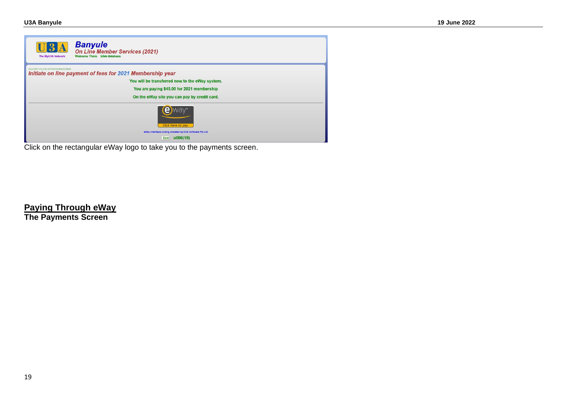| 3A<br>The MyU3A Network           | <b>Banyule</b><br><b>On Line Member Services (2021)</b><br><b>Welcome Thisis Live database</b>     |
|-----------------------------------|----------------------------------------------------------------------------------------------------|
| myu3a01.myu3a.net/homeAwww/u3abal | Initiate on line payment of fees for 2021 Membership year                                          |
|                                   | You will be transferred now to the eWay system.                                                    |
|                                   | You are paying \$45.00 for 2021 membership                                                         |
|                                   | On the eWay site you can pay by credit card.                                                       |
|                                   | Click here to pay<br>eWay interface coding donated by CCA Software Pty Ltd<br>Exit <b>u006(15)</b> |

Click on the rectangular eWay logo to take you to the payments screen.

**Paying Through eWay The Payments Screen**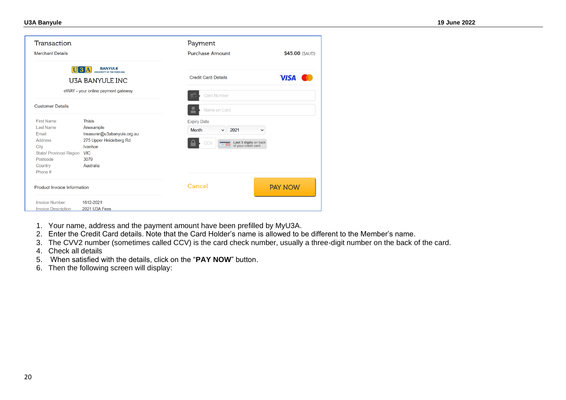| Transaction<br><b>Merchant Details</b>                                                                                                |                                                                                                                                    | Payment<br><b>Purchase Amount</b>                                                                                                     | \$45.00 (SAUD) |
|---------------------------------------------------------------------------------------------------------------------------------------|------------------------------------------------------------------------------------------------------------------------------------|---------------------------------------------------------------------------------------------------------------------------------------|----------------|
|                                                                                                                                       | <b>BANYULE</b><br>U3A<br><b>UNIVERSITY OF THE THIRD AGE</b><br><b>U3A BANYULE INC</b><br>eWAY - your online payment gateway        | <b>Credit Card Details</b>                                                                                                            | <b>VISA</b>    |
| <b>Customer Details</b>                                                                                                               |                                                                                                                                    | <b>Card Number</b><br>F<br>Name on Card                                                                                               |                |
| <b>First Name</b><br><b>Last Name</b><br>Email<br><b>Address</b><br>City<br>State/ Province/ Region<br>Postcode<br>Country<br>Phone # | <b>Thisis</b><br>Anexample<br>treasurer@u3abanyule.org.au<br>275 Upper Heidelberg Rd<br>Ivanhoe<br><b>VIC</b><br>3079<br>Australia | <b>Expiry Date</b><br><b>Month</b><br>2021<br>$\checkmark$<br>Last 3 digits on back<br>of your credit card<br>CCV<br><b>Press Eng</b> | $\check{ }$    |
| <b>Product Invoice Information</b>                                                                                                    |                                                                                                                                    | Cancel                                                                                                                                | <b>PAY NOW</b> |
| <b>Invoice Number</b><br><b>Invoice Description</b>                                                                                   | 1612-2021<br>2021 U3A Fees                                                                                                         |                                                                                                                                       |                |

- 1. Your name, address and the payment amount have been prefilled by MyU3A.
- 2. Enter the Credit Card details. Note that the Card Holder's name is allowed to be different to the Member's name.
- 3. The CVV2 number (sometimes called CCV) is the card check number, usually a three-digit number on the back of the card.
- 4. Check all details
- 5. When satisfied with the details, click on the "**PAY NOW**" button.
- 6. Then the following screen will display: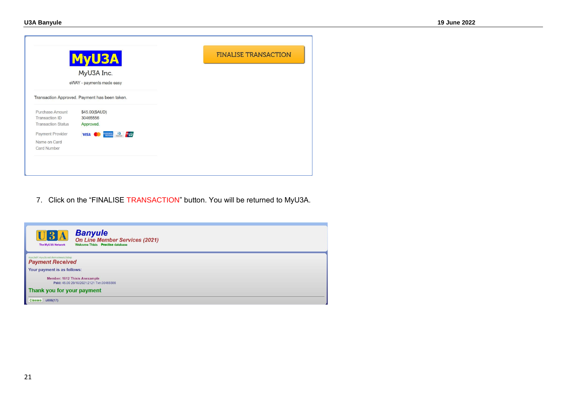|                                                                | <b>MyU3A</b>                                             |
|----------------------------------------------------------------|----------------------------------------------------------|
|                                                                | MyU3A Inc.                                               |
|                                                                | eWAY - payments made easy                                |
|                                                                | Transaction Approved. Payment has been taken.            |
| Purchase Amount<br>Transaction ID<br><b>Transaction Status</b> | \$45.00(\$AUD)<br>30465556<br>Approved.                  |
| Payment Provider<br>Name on Card<br><b>Card Number</b>         | $\mathbf{O}$<br>MESTOSSI<br><b>VISA</b><br><b>Linear</b> |

7. Click on the "FINALISE TRANSACTION" button. You will be returned to MyU3A.

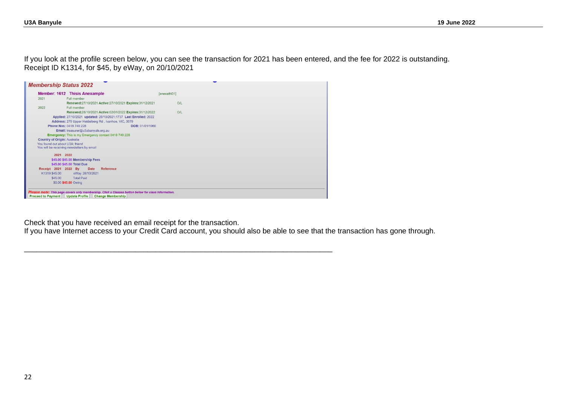If you look at the profile screen below, you can see the transaction for 2021 has been entered, and the fee for 2022 is outstanding. Receipt ID K1314, for \$45, by eWay, on 20/10/2021

|                                     | <b>Member: 1612 Thisis Anexample</b>                             |                 | [anexathi01] |  |  |
|-------------------------------------|------------------------------------------------------------------|-----------------|--------------|--|--|
| 2021                                | Full member                                                      |                 |              |  |  |
|                                     | Renewed:27/10/2021 Active:27/10/2021 Expires:31/12/2021          |                 | O/L          |  |  |
| 2022                                | Full member                                                      |                 |              |  |  |
|                                     | Renewed:28/10/2021 Active:02/01/2022 Expires:31/12/2022          |                 | O/L          |  |  |
|                                     | Applied: 27/10/2021 updated: 28/10/2021:1737 Last Enrolled: 2022 |                 |              |  |  |
|                                     | Address: 275 Upper Heidelberg Rd, Ivanhoe, VIC, 3079             |                 |              |  |  |
|                                     | Phone Nos: 0418 749 228                                          | DOB: 01/01/1960 |              |  |  |
|                                     | Email: treasurer@u3abanyule.org.au                               |                 |              |  |  |
|                                     | Emergency: This is my Emergency contact 0418 749 228             |                 |              |  |  |
| <b>Country of Origin: Australia</b> |                                                                  |                 |              |  |  |
| You found out about U3A: friend     |                                                                  |                 |              |  |  |
|                                     | You will be receiving newsletters by email                       |                 |              |  |  |
|                                     | 2021 2022                                                        |                 |              |  |  |
|                                     | \$45.00 \$45.00 Membership Fees                                  |                 |              |  |  |
|                                     | \$45.00 \$45.00 Total Due                                        |                 |              |  |  |
| Receipt 2021 2022 By                | Date<br><b>Reference</b>                                         |                 |              |  |  |
| K1319 \$45.00                       | eWay 28/10/2021                                                  |                 |              |  |  |
| \$45.00                             | <b>Total Paid</b>                                                |                 |              |  |  |
|                                     | \$0.00 \$45.00 Owing                                             |                 |              |  |  |
|                                     |                                                                  |                 |              |  |  |

\_\_\_\_\_\_\_\_\_\_\_\_\_\_\_\_\_\_\_\_\_\_\_\_\_\_\_\_\_\_\_\_\_\_\_\_\_\_\_\_\_\_\_\_\_\_\_\_\_\_\_\_\_\_\_\_\_\_\_\_\_\_\_\_\_\_\_\_\_\_\_\_\_\_\_

Check that you have received an email receipt for the transaction.

If you have Internet access to your Credit Card account, you should also be able to see that the transaction has gone through.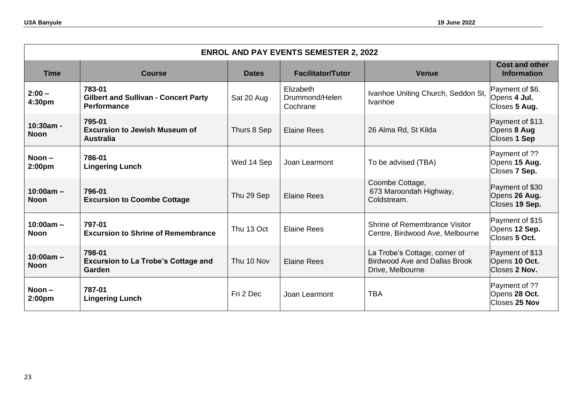| <b>ENROL AND PAY EVENTS SEMESTER 2, 2022</b> |                                                                             |              |                                         |                                                                                           |                                                    |  |  |  |
|----------------------------------------------|-----------------------------------------------------------------------------|--------------|-----------------------------------------|-------------------------------------------------------------------------------------------|----------------------------------------------------|--|--|--|
| <b>Time</b>                                  | <b>Course</b>                                                               | <b>Dates</b> | <b>Facilitator/Tutor</b>                | <b>Venue</b>                                                                              | <b>Cost and other</b><br><b>Information</b>        |  |  |  |
| $2:00 -$<br>4:30pm                           | 783-01<br><b>Gilbert and Sullivan - Concert Party</b><br><b>Performance</b> | Sat 20 Aug   | Elizabeth<br>Drummond/Helen<br>Cochrane | Ivanhoe Uniting Church, Seddon St,<br>Ivanhoe                                             | Payment of \$6.<br>Opens 4 Jul.<br>Closes 5 Aug.   |  |  |  |
| $10:30am -$<br>Noon                          | 795-01<br><b>Excursion to Jewish Museum of</b><br><b>Australia</b>          | Thurs 8 Sep  | <b>Elaine Rees</b>                      | 26 Alma Rd, St Kilda                                                                      | Payment of \$13.<br>Opens 8 Aug<br>Closes 1 Sep    |  |  |  |
| $Noon -$<br>2:00 <sub>pm</sub>               | 786-01<br><b>Lingering Lunch</b>                                            | Wed 14 Sep   | Joan Learmont                           | To be advised (TBA)                                                                       | Payment of ??<br>Opens 15 Aug.<br>Closes 7 Sep.    |  |  |  |
| $10:00am -$<br><b>Noon</b>                   | 796-01<br><b>Excursion to Coombe Cottage</b>                                | Thu 29 Sep   | <b>Elaine Rees</b>                      | Coombe Cottage,<br>673 Maroondah Highway,<br>Coldstream.                                  | Payment of \$30<br>Opens 26 Aug.<br>Closes 19 Sep. |  |  |  |
| $10:00am -$<br><b>Noon</b>                   | 797-01<br><b>Excursion to Shrine of Remembrance</b>                         | Thu 13 Oct   | <b>Elaine Rees</b>                      | Shrine of Remembrance Visitor<br>Centre, Birdwood Ave, Melbourne                          | Payment of \$15<br>Opens 12 Sep.<br>Closes 5 Oct.  |  |  |  |
| $10:00am -$<br><b>Noon</b>                   | 798-01<br><b>Excursion to La Trobe's Cottage and</b><br>Garden              | Thu 10 Nov   | <b>Elaine Rees</b>                      | La Trobe's Cottage, corner of<br><b>Birdwood Ave and Dallas Brook</b><br>Drive, Melbourne | Payment of \$13<br>Opens 10 Oct.<br>Closes 2 Nov.  |  |  |  |
| Noon $-$<br>2:00 <sub>pm</sub>               | 787-01<br><b>Lingering Lunch</b>                                            | Fri 2 Dec    | Joan Learmont                           | <b>TBA</b>                                                                                | Payment of ??<br>Opens 28 Oct.<br>Closes 25 Nov    |  |  |  |